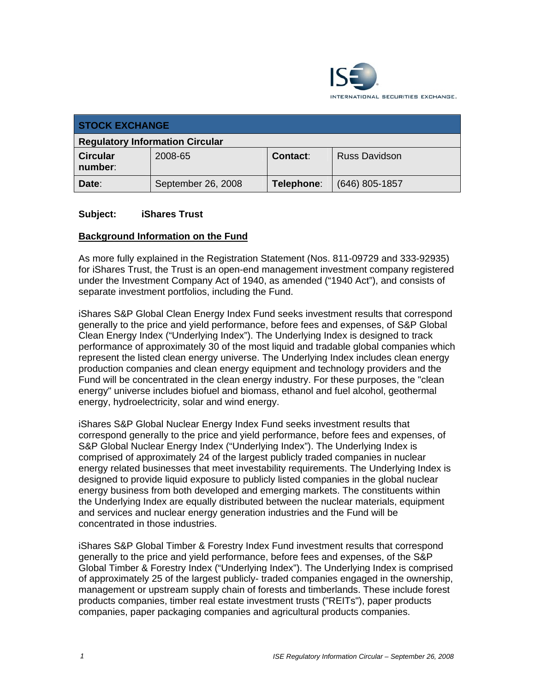

| <b>STOCK EXCHANGE</b>                  |                    |            |                      |  |
|----------------------------------------|--------------------|------------|----------------------|--|
| <b>Regulatory Information Circular</b> |                    |            |                      |  |
| <b>Circular</b><br>number:             | 2008-65            | Contact:   | <b>Russ Davidson</b> |  |
| Date:                                  | September 26, 2008 | Telephone: | $(646)$ 805-1857     |  |

#### **Subject: iShares Trust**

#### **Background Information on the Fund**

As more fully explained in the Registration Statement (Nos. 811-09729 and 333-92935) for iShares Trust, the Trust is an open-end management investment company registered under the Investment Company Act of 1940, as amended ("1940 Act"), and consists of separate investment portfolios, including the Fund.

iShares S&P Global Clean Energy Index Fund seeks investment results that correspond generally to the price and yield performance, before fees and expenses, of S&P Global Clean Energy Index ("Underlying Index"). The Underlying Index is designed to track performance of approximately 30 of the most liquid and tradable global companies which represent the listed clean energy universe. The Underlying Index includes clean energy production companies and clean energy equipment and technology providers and the Fund will be concentrated in the clean energy industry. For these purposes, the "clean energy" universe includes biofuel and biomass, ethanol and fuel alcohol, geothermal energy, hydroelectricity, solar and wind energy.

iShares S&P Global Nuclear Energy Index Fund seeks investment results that correspond generally to the price and yield performance, before fees and expenses, of S&P Global Nuclear Energy Index ("Underlying Index"). The Underlying Index is comprised of approximately 24 of the largest publicly traded companies in nuclear energy related businesses that meet investability requirements. The Underlying Index is designed to provide liquid exposure to publicly listed companies in the global nuclear energy business from both developed and emerging markets. The constituents within the Underlying Index are equally distributed between the nuclear materials, equipment and services and nuclear energy generation industries and the Fund will be concentrated in those industries.

iShares S&P Global Timber & Forestry Index Fund investment results that correspond generally to the price and yield performance, before fees and expenses, of the S&P Global Timber & Forestry Index ("Underlying Index"). The Underlying Index is comprised of approximately 25 of the largest publicly- traded companies engaged in the ownership, management or upstream supply chain of forests and timberlands. These include forest products companies, timber real estate investment trusts ("REITs"), paper products companies, paper packaging companies and agricultural products companies.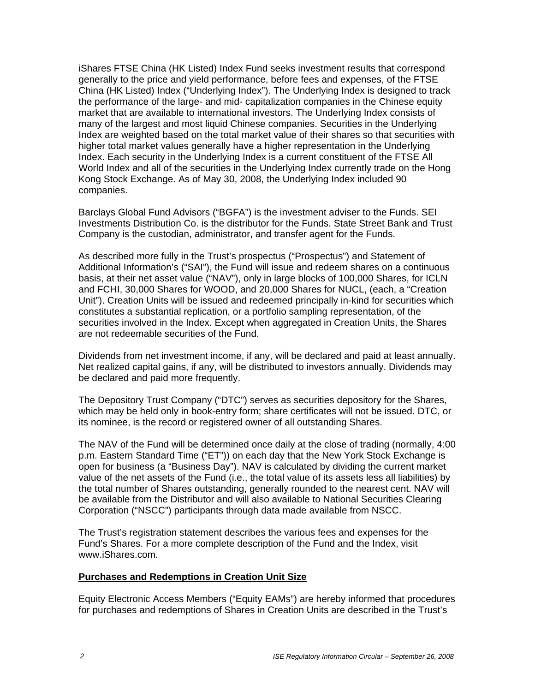iShares FTSE China (HK Listed) Index Fund seeks investment results that correspond generally to the price and yield performance, before fees and expenses, of the FTSE China (HK Listed) Index ("Underlying Index"). The Underlying Index is designed to track the performance of the large- and mid- capitalization companies in the Chinese equity market that are available to international investors. The Underlying Index consists of many of the largest and most liquid Chinese companies. Securities in the Underlying Index are weighted based on the total market value of their shares so that securities with higher total market values generally have a higher representation in the Underlying Index. Each security in the Underlying Index is a current constituent of the FTSE All World Index and all of the securities in the Underlying Index currently trade on the Hong Kong Stock Exchange. As of May 30, 2008, the Underlying Index included 90 companies.

Barclays Global Fund Advisors ("BGFA") is the investment adviser to the Funds. SEI Investments Distribution Co. is the distributor for the Funds. State Street Bank and Trust Company is the custodian, administrator, and transfer agent for the Funds.

As described more fully in the Trust's prospectus ("Prospectus") and Statement of Additional Information's ("SAI"), the Fund will issue and redeem shares on a continuous basis, at their net asset value ("NAV"), only in large blocks of 100,000 Shares, for ICLN and FCHI, 30,000 Shares for WOOD, and 20,000 Shares for NUCL, (each, a "Creation Unit"). Creation Units will be issued and redeemed principally in-kind for securities which constitutes a substantial replication, or a portfolio sampling representation, of the securities involved in the Index. Except when aggregated in Creation Units, the Shares are not redeemable securities of the Fund.

Dividends from net investment income, if any, will be declared and paid at least annually. Net realized capital gains, if any, will be distributed to investors annually. Dividends may be declared and paid more frequently.

The Depository Trust Company ("DTC") serves as securities depository for the Shares, which may be held only in book-entry form; share certificates will not be issued. DTC, or its nominee, is the record or registered owner of all outstanding Shares.

The NAV of the Fund will be determined once daily at the close of trading (normally, 4:00 p.m. Eastern Standard Time ("ET")) on each day that the New York Stock Exchange is open for business (a "Business Day"). NAV is calculated by dividing the current market value of the net assets of the Fund (i.e., the total value of its assets less all liabilities) by the total number of Shares outstanding, generally rounded to the nearest cent. NAV will be available from the Distributor and will also available to National Securities Clearing Corporation ("NSCC") participants through data made available from NSCC.

The Trust's registration statement describes the various fees and expenses for the Fund's Shares. For a more complete description of the Fund and the Index, visit www.iShares.com.

#### **Purchases and Redemptions in Creation Unit Size**

Equity Electronic Access Members ("Equity EAMs") are hereby informed that procedures for purchases and redemptions of Shares in Creation Units are described in the Trust's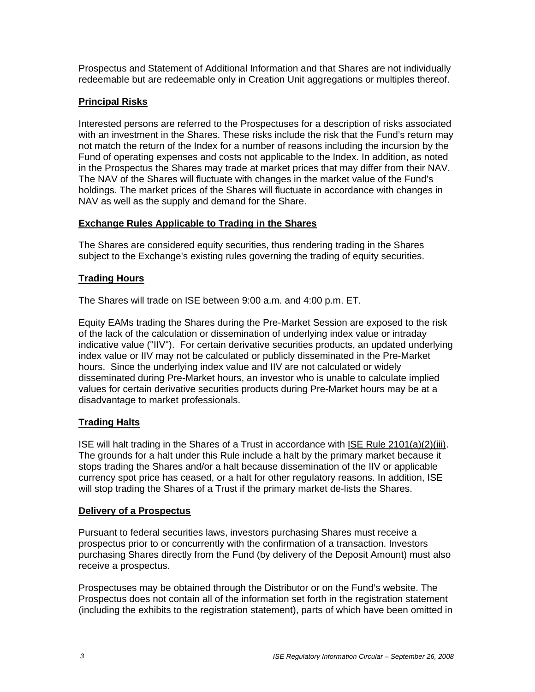Prospectus and Statement of Additional Information and that Shares are not individually redeemable but are redeemable only in Creation Unit aggregations or multiples thereof.

## **Principal Risks**

Interested persons are referred to the Prospectuses for a description of risks associated with an investment in the Shares. These risks include the risk that the Fund's return may not match the return of the Index for a number of reasons including the incursion by the Fund of operating expenses and costs not applicable to the Index. In addition, as noted in the Prospectus the Shares may trade at market prices that may differ from their NAV. The NAV of the Shares will fluctuate with changes in the market value of the Fund's holdings. The market prices of the Shares will fluctuate in accordance with changes in NAV as well as the supply and demand for the Share.

### **Exchange Rules Applicable to Trading in the Shares**

The Shares are considered equity securities, thus rendering trading in the Shares subject to the Exchange's existing rules governing the trading of equity securities.

### **Trading Hours**

The Shares will trade on ISE between 9:00 a.m. and 4:00 p.m. ET.

Equity EAMs trading the Shares during the Pre-Market Session are exposed to the risk of the lack of the calculation or dissemination of underlying index value or intraday indicative value ("IIV"). For certain derivative securities products, an updated underlying index value or IIV may not be calculated or publicly disseminated in the Pre-Market hours. Since the underlying index value and IIV are not calculated or widely disseminated during Pre-Market hours, an investor who is unable to calculate implied values for certain derivative securities products during Pre-Market hours may be at a disadvantage to market professionals.

### **Trading Halts**

ISE will halt trading in the Shares of a Trust in accordance with ISE Rule 2101(a)(2)(iii). The grounds for a halt under this Rule include a halt by the primary market because it stops trading the Shares and/or a halt because dissemination of the IIV or applicable currency spot price has ceased, or a halt for other regulatory reasons. In addition, ISE will stop trading the Shares of a Trust if the primary market de-lists the Shares.

### **Delivery of a Prospectus**

Pursuant to federal securities laws, investors purchasing Shares must receive a prospectus prior to or concurrently with the confirmation of a transaction. Investors purchasing Shares directly from the Fund (by delivery of the Deposit Amount) must also receive a prospectus.

Prospectuses may be obtained through the Distributor or on the Fund's website. The Prospectus does not contain all of the information set forth in the registration statement (including the exhibits to the registration statement), parts of which have been omitted in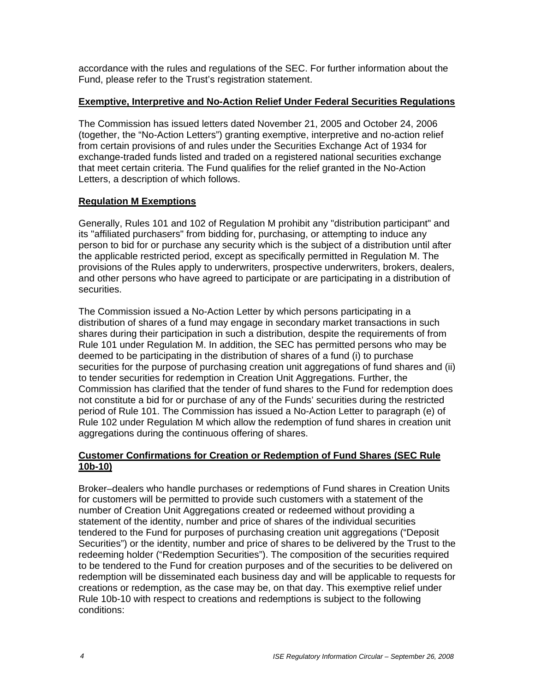accordance with the rules and regulations of the SEC. For further information about the Fund, please refer to the Trust's registration statement.

### **Exemptive, Interpretive and No-Action Relief Under Federal Securities Regulations**

The Commission has issued letters dated November 21, 2005 and October 24, 2006 (together, the "No-Action Letters") granting exemptive, interpretive and no-action relief from certain provisions of and rules under the Securities Exchange Act of 1934 for exchange-traded funds listed and traded on a registered national securities exchange that meet certain criteria. The Fund qualifies for the relief granted in the No-Action Letters, a description of which follows.

### **Regulation M Exemptions**

Generally, Rules 101 and 102 of Regulation M prohibit any "distribution participant" and its "affiliated purchasers" from bidding for, purchasing, or attempting to induce any person to bid for or purchase any security which is the subject of a distribution until after the applicable restricted period, except as specifically permitted in Regulation M. The provisions of the Rules apply to underwriters, prospective underwriters, brokers, dealers, and other persons who have agreed to participate or are participating in a distribution of securities.

The Commission issued a No-Action Letter by which persons participating in a distribution of shares of a fund may engage in secondary market transactions in such shares during their participation in such a distribution, despite the requirements of from Rule 101 under Regulation M. In addition, the SEC has permitted persons who may be deemed to be participating in the distribution of shares of a fund (i) to purchase securities for the purpose of purchasing creation unit aggregations of fund shares and (ii) to tender securities for redemption in Creation Unit Aggregations. Further, the Commission has clarified that the tender of fund shares to the Fund for redemption does not constitute a bid for or purchase of any of the Funds' securities during the restricted period of Rule 101. The Commission has issued a No-Action Letter to paragraph (e) of Rule 102 under Regulation M which allow the redemption of fund shares in creation unit aggregations during the continuous offering of shares.

### **Customer Confirmations for Creation or Redemption of Fund Shares (SEC Rule 10b-10)**

Broker–dealers who handle purchases or redemptions of Fund shares in Creation Units for customers will be permitted to provide such customers with a statement of the number of Creation Unit Aggregations created or redeemed without providing a statement of the identity, number and price of shares of the individual securities tendered to the Fund for purposes of purchasing creation unit aggregations ("Deposit Securities") or the identity, number and price of shares to be delivered by the Trust to the redeeming holder ("Redemption Securities"). The composition of the securities required to be tendered to the Fund for creation purposes and of the securities to be delivered on redemption will be disseminated each business day and will be applicable to requests for creations or redemption, as the case may be, on that day. This exemptive relief under Rule 10b-10 with respect to creations and redemptions is subject to the following conditions: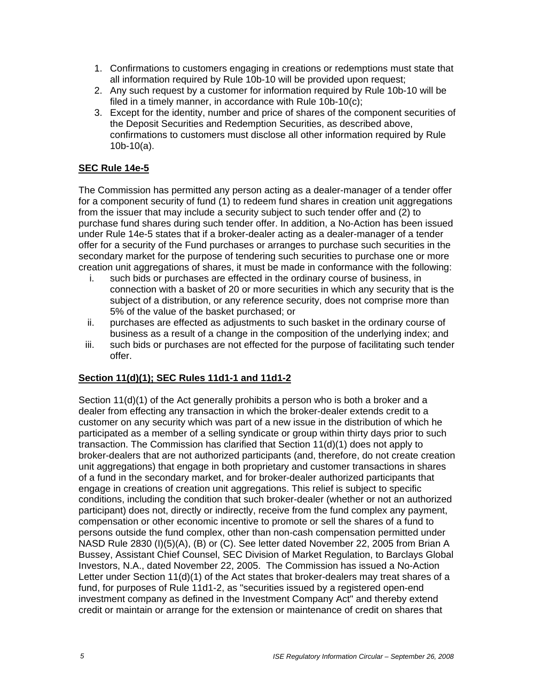- 1. Confirmations to customers engaging in creations or redemptions must state that all information required by Rule 10b-10 will be provided upon request;
- 2. Any such request by a customer for information required by Rule 10b-10 will be filed in a timely manner, in accordance with Rule 10b-10(c);
- 3. Except for the identity, number and price of shares of the component securities of the Deposit Securities and Redemption Securities, as described above, confirmations to customers must disclose all other information required by Rule 10b-10(a).

# **SEC Rule 14e-5**

The Commission has permitted any person acting as a dealer-manager of a tender offer for a component security of fund (1) to redeem fund shares in creation unit aggregations from the issuer that may include a security subject to such tender offer and (2) to purchase fund shares during such tender offer. In addition, a No-Action has been issued under Rule 14e-5 states that if a broker-dealer acting as a dealer-manager of a tender offer for a security of the Fund purchases or arranges to purchase such securities in the secondary market for the purpose of tendering such securities to purchase one or more creation unit aggregations of shares, it must be made in conformance with the following:

- i. such bids or purchases are effected in the ordinary course of business, in connection with a basket of 20 or more securities in which any security that is the subject of a distribution, or any reference security, does not comprise more than 5% of the value of the basket purchased; or
- ii. purchases are effected as adjustments to such basket in the ordinary course of business as a result of a change in the composition of the underlying index; and
- iii. such bids or purchases are not effected for the purpose of facilitating such tender offer.

# **Section 11(d)(1); SEC Rules 11d1-1 and 11d1-2**

Section 11(d)(1) of the Act generally prohibits a person who is both a broker and a dealer from effecting any transaction in which the broker-dealer extends credit to a customer on any security which was part of a new issue in the distribution of which he participated as a member of a selling syndicate or group within thirty days prior to such transaction. The Commission has clarified that Section 11(d)(1) does not apply to broker-dealers that are not authorized participants (and, therefore, do not create creation unit aggregations) that engage in both proprietary and customer transactions in shares of a fund in the secondary market, and for broker-dealer authorized participants that engage in creations of creation unit aggregations. This relief is subject to specific conditions, including the condition that such broker-dealer (whether or not an authorized participant) does not, directly or indirectly, receive from the fund complex any payment, compensation or other economic incentive to promote or sell the shares of a fund to persons outside the fund complex, other than non-cash compensation permitted under NASD Rule 2830 (I)(5)(A), (B) or (C). See letter dated November 22, 2005 from Brian A Bussey, Assistant Chief Counsel, SEC Division of Market Regulation, to Barclays Global Investors, N.A., dated November 22, 2005. The Commission has issued a No-Action Letter under Section 11(d)(1) of the Act states that broker-dealers may treat shares of a fund, for purposes of Rule 11d1-2, as "securities issued by a registered open-end investment company as defined in the Investment Company Act" and thereby extend credit or maintain or arrange for the extension or maintenance of credit on shares that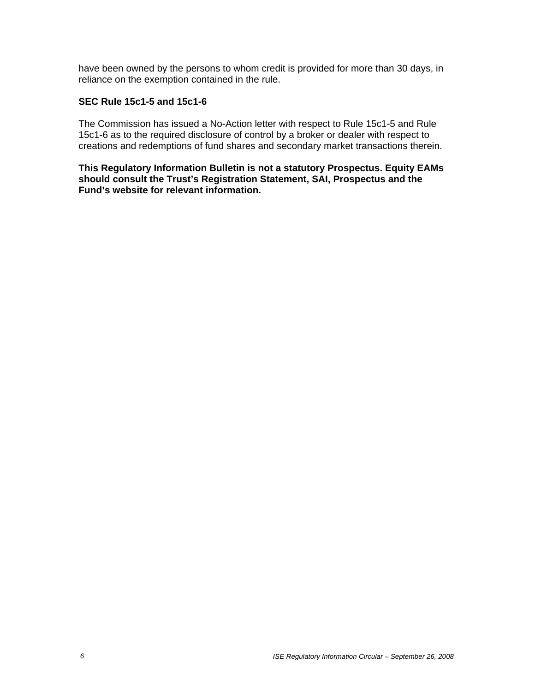have been owned by the persons to whom credit is provided for more than 30 days, in reliance on the exemption contained in the rule.

#### **SEC Rule 15c1-5 and 15c1-6**

The Commission has issued a No-Action letter with respect to Rule 15c1-5 and Rule 15c1-6 as to the required disclosure of control by a broker or dealer with respect to creations and redemptions of fund shares and secondary market transactions therein.

**This Regulatory Information Bulletin is not a statutory Prospectus. Equity EAMs should consult the Trust's Registration Statement, SAI, Prospectus and the Fund's website for relevant information.**